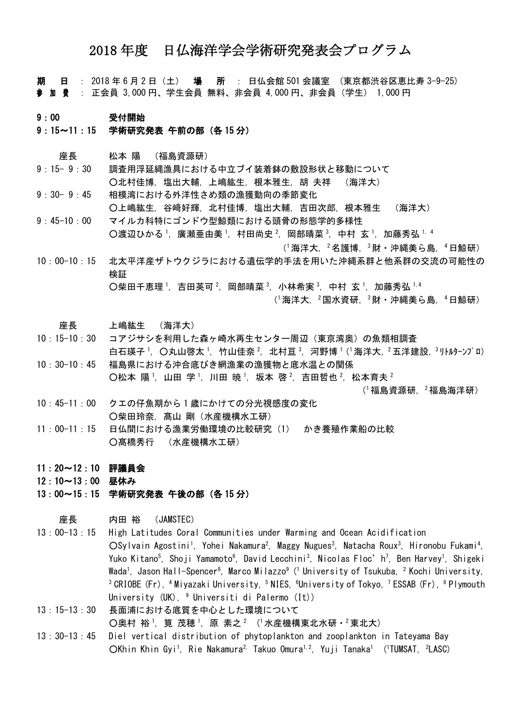# 2018 年度 日仏海洋学会学術研究発表会プログラム

期 日 : 2018 年 6 月 2 日(土) 場 所 : 日仏会館 501 会議室 (東京都渋谷区恵比寿 3-9-25) 参 加 <sup>費</sup> : 正会員 3,000 円、学生会員 無料、非会員 4,000 円、非会員(学生) 1,000 円

#### 9:00 受付開始

## 9:15~11:15 学術研究発表 午前の部(各 15 分)

座長 松本 陽 (福島資源研)

- 9:15- 9:30 調査用浮延縄漁具における中立ブイ装着鉢の敷設形状と移動について ○北村佳博, 塩出大輔, 上嶋紘生, 根本雅生, 胡 夫祥 (海洋大)
- 9:30-9:45 相模湾における外洋性さめ類の漁獲動向の季節変化 ○上嶋紘生, 谷﨑好輝, 北村佳博, 塩出大輔, 吉田次郎, 根本雅生 (海洋大)
- 9:45-10:00 マイルカ科特にゴンドウ型鯨類における頭骨の形態学的多様性 ○渡辺ひかる ,廣瀬亜由美 ',村田尚史 <sup>2</sup>,岡部晴菜 <sup>3</sup>,中村 玄 ',加藤秀弘 ',4

(<sup>1</sup>海洋大,<sup>2</sup>名護博,<sup>3</sup>財・沖縄美ら島,<sup>4</sup>日鯨研)

10:00-10:15 北太平洋産ザトウクジラにおける遺伝学的手法を用いた沖縄系群と他系群の交流の可能性の 検証  $O$ 柴田千恵理 ',吉田英可 <sup>2</sup>,岡部晴菜 3, 小林希実 3, 中村 玄 <sup>1</sup>, 加藤秀弘 1,4

(<sup>1</sup>海洋大, <sup>2</sup>国水資研, <sup>3</sup>財・沖縄美ら島, <sup>4</sup>日鯨研)

### 座長 上嶋紘生 (海洋大)

- 10:15-10:30 コアジサシを利用した森ヶ崎水再生センター周辺(東京湾奥)の魚類相調査 白石瑛子<sup>1</sup>, 〇丸山啓太<sup>1</sup>, 竹山佳奈<sup>2</sup>, 北村亘<sup>3</sup>, 河野博<sup>1</sup>(1海洋大, 2五洋建設, 3 リルターンプロ)
- 10:30-10:45 福島県における沖合底びき網漁業の漁獲物と底水温との関係  $\overline{O}$ 松本 陽<sup>1</sup>, 山田 学<sup>1</sup>, 川田 暁<sup>1</sup>, 坂本 啓<sup>2</sup>, 吉田哲也<sup>2</sup>, 松本育夫<sup>2</sup>

 $($  相島資源研, $^{2}$ 福島海洋研)

- 10:45-11:00 クエの仔魚期から 1 歳にかけての分光視感度の変化 ○柴田玲奈, 髙山 剛(水産機構水工研)
- 11:00-11:15 日仏間における漁業労働環境の比較研究(1) かき養殖作業船の比較 ○髙橋秀行 (水産機構水工研)
- 11:20~12:10 評議員会

12:10~13:00 昼休み

13:00~15:15 学術研究発表 午後の部(各 15 分)

### 座長 内田 裕 (JAMSTEC)

13:00-13:15 High Latitudes Coral Communities under Warming and Ocean Acidification ○Sylvain Agostini<sup>1</sup>, Yohei Nakamura<sup>2</sup>, Maggy Nugues<sup>3</sup>, Natacha Roux<sup>3</sup>, Hironobu Fukami<sup>4</sup>, Yuko Kitano<sup>5</sup>, Shoji Yamamoto<sup>6</sup>, David Lecchini<sup>3</sup>, Nicolas Floc'h<sup>7</sup>, Ben Harvey<sup>1</sup>, Shigeki Wada<sup>1</sup>, Jason Hall-Spencer<sup>8</sup>, Marco Milazzo<sup>9</sup> (<sup>1</sup> University of Tsukuba, <sup>2</sup> Kochi University, <sup>3</sup>CRIOBE (Fr), <sup>4</sup>Miyazaki University, <sup>5</sup>NIES, <sup>6</sup>University of Tokyo, <sup>7</sup>ESSAB (Fr), <sup>8</sup>Plymouth University (UK), <sup>9</sup> Universiti di Palermo (It))

13:15-13:30 長面浦における底質を中心とした環境について ○奥村 裕 ,筧 茂穂 ,原 素之 2 ( 水産機構東北水研・2東北大)

13:30-13:45 Diel vertical distribution of phytoplankton and zooplankton in Tateyama Bay OKhin Khin Gyi<sup>1</sup>, Rie Nakamura<sup>2,</sup> Takuo Omura<sup>1,2</sup>, Yuji Tanaka<sup>1</sup> ('TUMSAT, <sup>2</sup>LASC)